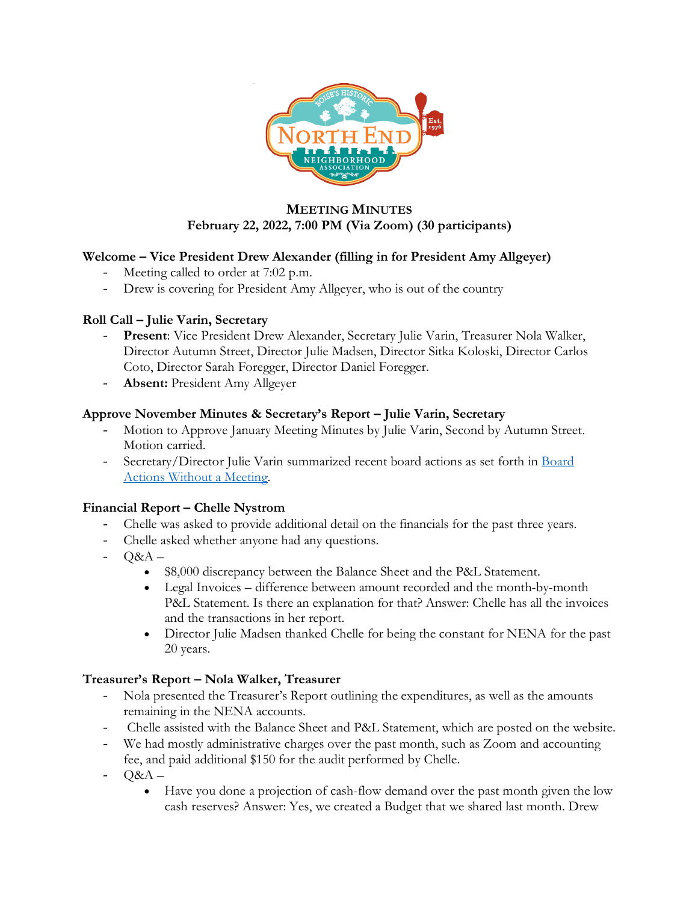

## **MEETING MINUTES February 22, 2022, 7:00 PM (Via Zoom) (30 participants)**

## **Welcome – Vice President Drew Alexander (filling in for President Amy Allgeyer)**

- Meeting called to order at 7:02 p.m.
- Drew is covering for President Amy Allgeyer, who is out of the country

### **Roll Call – Julie Varin, Secretary**

- **Present**: Vice President Drew Alexander, Secretary Julie Varin, Treasurer Nola Walker, Director Autumn Street, Director Julie Madsen, Director Sitka Koloski, Director Carlos Coto, Director Sarah Foregger, Director Daniel Foregger.
- Absent: President Amy Allgeyer

### **Approve November Minutes & Secretary's Report – Julie Varin, Secretary**

- Motion to Approve January Meeting Minutes by Julie Varin, Second by Autumn Street. Motion carried.
- Secretary/Director Julie Varin summarized recent board actions as set forth in Board Actions Without a Meeting.

### **Financial Report – Chelle Nystrom**

- Chelle was asked to provide additional detail on the financials for the past three years.
- Chelle asked whether anyone had any questions.
- Q&A
	- \$8,000 discrepancy between the Balance Sheet and the P&L Statement.
	- Legal Invoices difference between amount recorded and the month-by-month P&L Statement. Is there an explanation for that? Answer: Chelle has all the invoices and the transactions in her report.
	- Director Julie Madsen thanked Chelle for being the constant for NENA for the past 20 years.

## **Treasurer's Report – Nola Walker, Treasurer**

- Nola presented the Treasurer's Report outlining the expenditures, as well as the amounts remaining in the NENA accounts.
- Chelle assisted with the Balance Sheet and P&L Statement, which are posted on the website.
- We had mostly administrative charges over the past month, such as Zoom and accounting fee, and paid additional \$150 for the audit performed by Chelle.
- $-$  Q&A  $-$ 
	- Have you done a projection of cash-flow demand over the past month given the low cash reserves? Answer: Yes, we created a Budget that we shared last month. Drew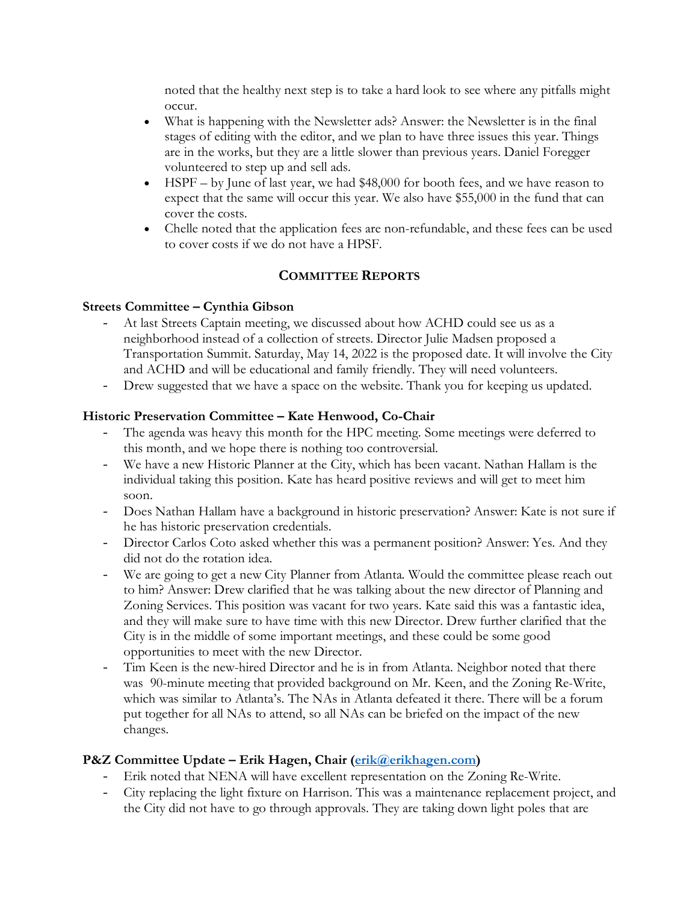noted that the healthy next step is to take a hard look to see where any pitfalls might occur.

- What is happening with the Newsletter ads? Answer: the Newsletter is in the final stages of editing with the editor, and we plan to have three issues this year. Things are in the works, but they are a little slower than previous years. Daniel Foregger volunteered to step up and sell ads.
- HSPF by June of last year, we had \$48,000 for booth fees, and we have reason to expect that the same will occur this year. We also have \$55,000 in the fund that can cover the costs.
- Chelle noted that the application fees are non-refundable, and these fees can be used to cover costs if we do not have a HPSF.

# **COMMITTEE REPORTS**

## **Streets Committee – Cynthia Gibson**

- At last Streets Captain meeting, we discussed about how ACHD could see us as a neighborhood instead of a collection of streets. Director Julie Madsen proposed a Transportation Summit. Saturday, May 14, 2022 is the proposed date. It will involve the City and ACHD and will be educational and family friendly. They will need volunteers.
- Drew suggested that we have a space on the website. Thank you for keeping us updated.

## **Historic Preservation Committee – Kate Henwood, Co-Chair**

- The agenda was heavy this month for the HPC meeting. Some meetings were deferred to this month, and we hope there is nothing too controversial.
- We have a new Historic Planner at the City, which has been vacant. Nathan Hallam is the individual taking this position. Kate has heard positive reviews and will get to meet him soon.
- Does Nathan Hallam have a background in historic preservation? Answer: Kate is not sure if he has historic preservation credentials.
- Director Carlos Coto asked whether this was a permanent position? Answer: Yes. And they did not do the rotation idea.
- We are going to get a new City Planner from Atlanta. Would the committee please reach out to him? Answer: Drew clarified that he was talking about the new director of Planning and Zoning Services. This position was vacant for two years. Kate said this was a fantastic idea, and they will make sure to have time with this new Director. Drew further clarified that the City is in the middle of some important meetings, and these could be some good opportunities to meet with the new Director.
- Tim Keen is the new-hired Director and he is in from Atlanta. Neighbor noted that there was 90-minute meeting that provided background on Mr. Keen, and the Zoning Re-Write, which was similar to Atlanta's. The NAs in Atlanta defeated it there. There will be a forum put together for all NAs to attend, so all NAs can be briefed on the impact of the new changes.

## **P&Z Committee Update – Erik Hagen, Chair (erik@erikhagen.com)**

- Erik noted that NENA will have excellent representation on the Zoning Re-Write.
- City replacing the light fixture on Harrison. This was a maintenance replacement project, and the City did not have to go through approvals. They are taking down light poles that are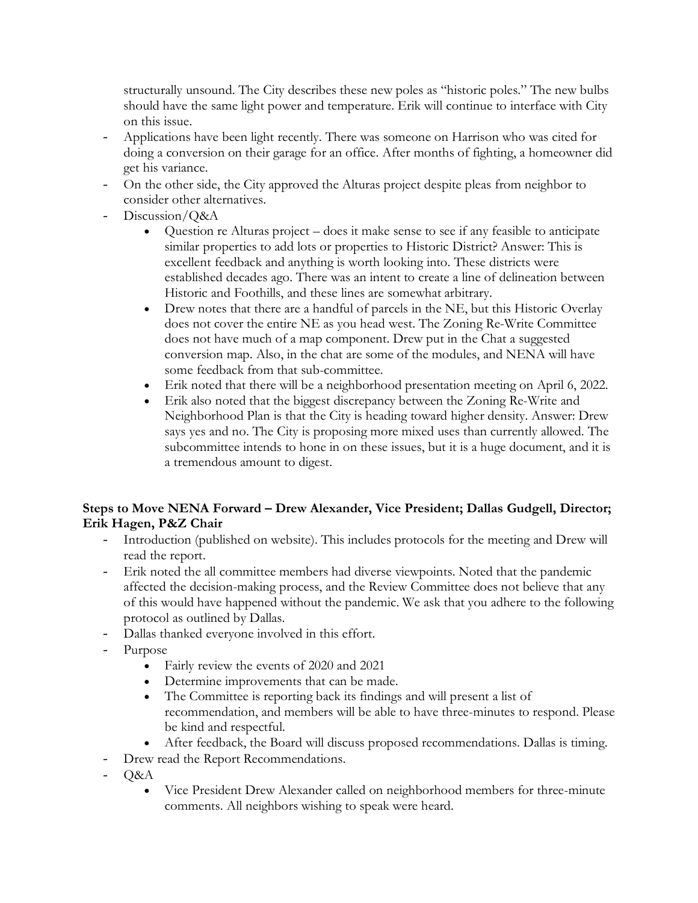structurally unsound. The City describes these new poles as "historic poles." The new bulbs should have the same light power and temperature. Erik will continue to interface with City on this issue.

- Applications have been light recently. There was someone on Harrison who was cited for doing a conversion on their garage for an office. After months of fighting, a homeowner did get his variance.
- On the other side, the City approved the Alturas project despite pleas from neighbor to consider other alternatives.
- Discussion/O&A
	- Question re Alturas project does it make sense to see if any feasible to anticipate similar properties to add lots or properties to Historic District? Answer: This is excellent feedback and anything is worth looking into. These districts were established decades ago. There was an intent to create a line of delineation between Historic and Foothills, and these lines are somewhat arbitrary.
	- Drew notes that there are a handful of parcels in the NE, but this Historic Overlay does not cover the entire NE as you head west. The Zoning Re-Write Committee does not have much of a map component. Drew put in the Chat a suggested conversion map. Also, in the chat are some of the modules, and NENA will have some feedback from that sub-committee.
	- Erik noted that there will be a neighborhood presentation meeting on April 6, 2022.
	- Erik also noted that the biggest discrepancy between the Zoning Re-Write and Neighborhood Plan is that the City is heading toward higher density. Answer: Drew says yes and no. The City is proposing more mixed uses than currently allowed. The subcommittee intends to hone in on these issues, but it is a huge document, and it is a tremendous amount to digest.

## **Steps to Move NENA Forward – Drew Alexander, Vice President; Dallas Gudgell, Director; Erik Hagen, P&Z Chair**

- Introduction (published on website). This includes protocols for the meeting and Drew will read the report.
- Erik noted the all committee members had diverse viewpoints. Noted that the pandemic affected the decision-making process, and the Review Committee does not believe that any of this would have happened without the pandemic. We ask that you adhere to the following protocol as outlined by Dallas.
- Dallas thanked everyone involved in this effort.
- Purpose
	- Fairly review the events of 2020 and 2021
	- Determine improvements that can be made.
	- The Committee is reporting back its findings and will present a list of recommendation, and members will be able to have three-minutes to respond. Please be kind and respectful.
	- After feedback, the Board will discuss proposed recommendations. Dallas is timing.
- Drew read the Report Recommendations.
- Q&A
	- Vice President Drew Alexander called on neighborhood members for three-minute comments. All neighbors wishing to speak were heard.